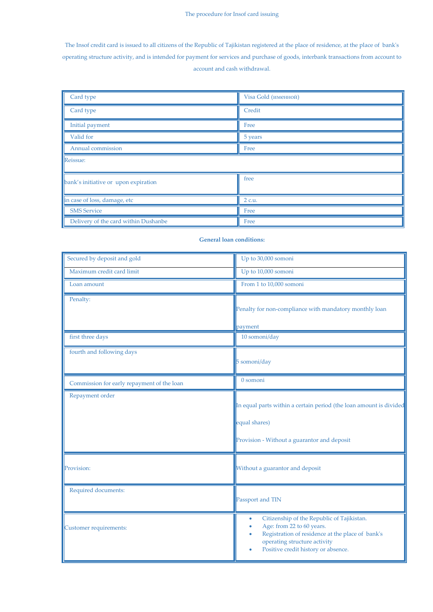The Insof credit card is issued to all citizens of the Republic of Tajikistan registered at the place of residence, at the place of bank's operating structure activity, and is intended for payment for services and purchase of goods, interbank transactions from account to account and cash withdrawal.

| Card type                            | Visa Gold (именной) |  |
|--------------------------------------|---------------------|--|
| Card type                            | Credit              |  |
| Initial payment                      | Free                |  |
| Valid for                            | 5 years             |  |
| Annual commission                    | Free                |  |
| Reissue:                             |                     |  |
| bank's initiative or upon expiration | free                |  |
| in case of loss, damage, etc         | 2 c.u.              |  |
| <b>SMS</b> Service                   | Free                |  |
| Delivery of the card within Dushanbe | Free                |  |

## **General loan conditions:**

| Secured by deposit and gold                | Up to 30,000 somoni                                                                                                                                                                                     |
|--------------------------------------------|---------------------------------------------------------------------------------------------------------------------------------------------------------------------------------------------------------|
| Maximum credit card limit                  | Up to 10,000 somoni                                                                                                                                                                                     |
| Loan amount                                | From 1 to 10,000 somoni                                                                                                                                                                                 |
| Penalty:                                   | Penalty for non-compliance with mandatory monthly loan                                                                                                                                                  |
|                                            | payment                                                                                                                                                                                                 |
| first three days                           | 10 somoni/day                                                                                                                                                                                           |
| fourth and following days                  | 5 somoni/day                                                                                                                                                                                            |
| Commission for early repayment of the loan | 0 somoni                                                                                                                                                                                                |
| Repayment order                            | In equal parts within a certain period (the loan amount is divided<br>equal shares)<br>Provision - Without a guarantor and deposit                                                                      |
| Provision:                                 | Without a guarantor and deposit                                                                                                                                                                         |
| Required documents:                        | Passport and TIN                                                                                                                                                                                        |
| Customer requirements:                     | Citizenship of the Republic of Tajikistan.<br>۰<br>Age: from 22 to 60 years.<br>Registration of residence at the place of bank's<br>operating structure activity<br>Positive credit history or absence. |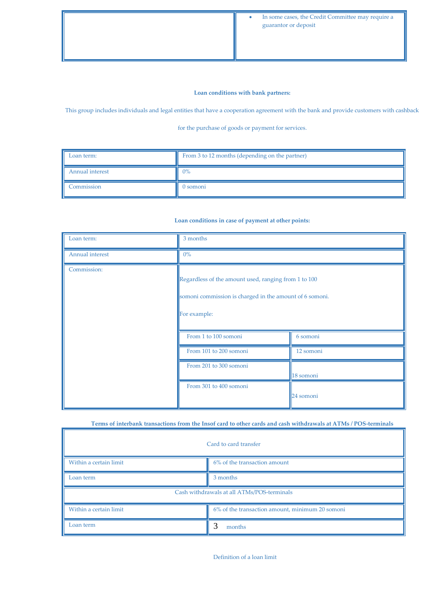## **Loan conditions with bank partners:**

This group includes individuals and legal entities that have a cooperation agreement with the bank and provide customers with cashback

for the purchase of goods or payment for services.

| Loan term:             | From 3 to 12 months (depending on the partner) |  |
|------------------------|------------------------------------------------|--|
| <b>Annual interest</b> | $0\%$                                          |  |
| Commission             | 0 somoni                                       |  |

## **Loan conditions in case of payment at other points:**

| Loan term:      | 3 months                                                                                                                        |           |
|-----------------|---------------------------------------------------------------------------------------------------------------------------------|-----------|
| Annual interest | $0\%$                                                                                                                           |           |
| Commission:     | Regardless of the amount used, ranging from 1 to 100<br>somoni commission is charged in the amount of 6 somoni.<br>For example: |           |
|                 | From 1 to 100 somoni                                                                                                            | 6 somoni  |
|                 | From 101 to 200 somoni                                                                                                          | 12 somoni |
|                 | From 201 to 300 somoni                                                                                                          | 18 somoni |
|                 | From 301 to 400 somoni                                                                                                          | 24 somoni |

## **Terms of interbank transactions from the Insof card to other cards and cash withdrawals at ATMs / POS-terminals**

| Card to card transfer                      |                                                 |  |
|--------------------------------------------|-------------------------------------------------|--|
| Within a certain limit                     | 6% of the transaction amount                    |  |
| Loan term                                  | 3 months                                        |  |
| Cash withdrawals at all ATMs/POS-terminals |                                                 |  |
| Within a certain limit                     | 6% of the transaction amount, minimum 20 somoni |  |
| Loan term                                  | months                                          |  |

Definition of a loan limit